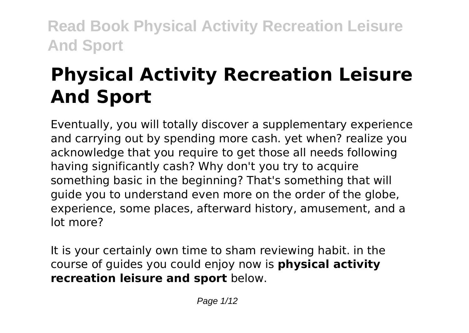# **Physical Activity Recreation Leisure And Sport**

Eventually, you will totally discover a supplementary experience and carrying out by spending more cash. yet when? realize you acknowledge that you require to get those all needs following having significantly cash? Why don't you try to acquire something basic in the beginning? That's something that will guide you to understand even more on the order of the globe, experience, some places, afterward history, amusement, and a lot more?

It is your certainly own time to sham reviewing habit. in the course of guides you could enjoy now is **physical activity recreation leisure and sport** below.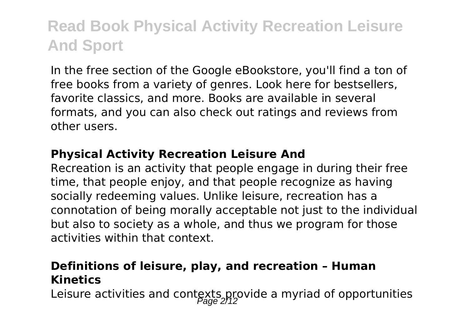In the free section of the Google eBookstore, you'll find a ton of free books from a variety of genres. Look here for bestsellers, favorite classics, and more. Books are available in several formats, and you can also check out ratings and reviews from other users.

#### **Physical Activity Recreation Leisure And**

Recreation is an activity that people engage in during their free time, that people enjoy, and that people recognize as having socially redeeming values. Unlike leisure, recreation has a connotation of being morally acceptable not just to the individual but also to society as a whole, and thus we program for those activities within that context.

#### **Definitions of leisure, play, and recreation – Human Kinetics**

Leisure activities and contexts provide a myriad of opportunities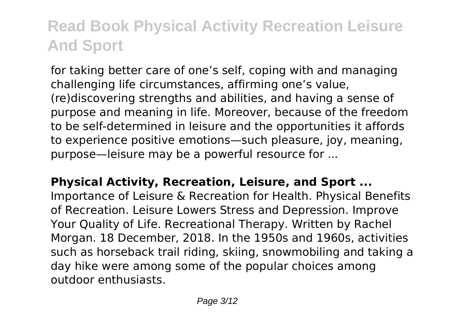for taking better care of one's self, coping with and managing challenging life circumstances, affirming one's value, (re)discovering strengths and abilities, and having a sense of purpose and meaning in life. Moreover, because of the freedom to be self-determined in leisure and the opportunities it affords to experience positive emotions—such pleasure, joy, meaning, purpose—leisure may be a powerful resource for ...

**Physical Activity, Recreation, Leisure, and Sport ...** Importance of Leisure & Recreation for Health. Physical Benefits of Recreation. Leisure Lowers Stress and Depression. Improve Your Quality of Life. Recreational Therapy. Written by Rachel Morgan. 18 December, 2018. In the 1950s and 1960s, activities such as horseback trail riding, skiing, snowmobiling and taking a day hike were among some of the popular choices among outdoor enthusiasts.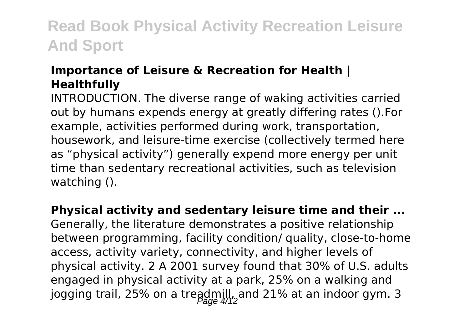#### **Importance of Leisure & Recreation for Health | Healthfully**

INTRODUCTION. The diverse range of waking activities carried out by humans expends energy at greatly differing rates ().For example, activities performed during work, transportation, housework, and leisure-time exercise (collectively termed here as "physical activity") generally expend more energy per unit time than sedentary recreational activities, such as television watching ().

**Physical activity and sedentary leisure time and their ...**

Generally, the literature demonstrates a positive relationship between programming, facility condition/ quality, close-to-home access, activity variety, connectivity, and higher levels of physical activity. 2 A 2001 survey found that 30% of U.S. adults engaged in physical activity at a park, 25% on a walking and jogging trail, 25% on a treadmill, and 21% at an indoor gym. 3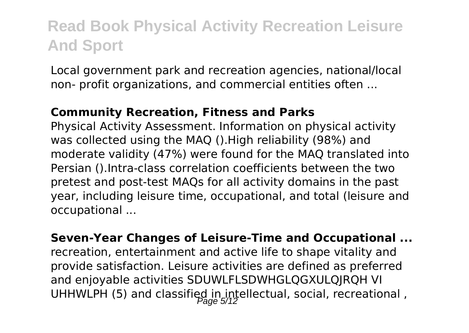Local government park and recreation agencies, national/local non- profit organizations, and commercial entities often ...

#### **Community Recreation, Fitness and Parks**

Physical Activity Assessment. Information on physical activity was collected using the MAQ ().High reliability (98%) and moderate validity (47%) were found for the MAQ translated into Persian ().Intra-class correlation coefficients between the two pretest and post-test MAQs for all activity domains in the past year, including leisure time, occupational, and total (leisure and occupational ...

**Seven-Year Changes of Leisure-Time and Occupational ...** recreation, entertainment and active life to shape vitality and provide satisfaction. Leisure activities are defined as preferred and enjoyable activities SDUWLFLSDWHGLQGXULQJRQH VI UHHWLPH (5) and classified in intellectual, social, recreational,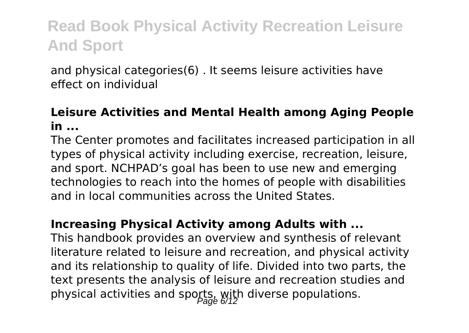and physical categories(6) . It seems leisure activities have effect on individual

#### **Leisure Activities and Mental Health among Aging People in ...**

The Center promotes and facilitates increased participation in all types of physical activity including exercise, recreation, leisure, and sport. NCHPAD's goal has been to use new and emerging technologies to reach into the homes of people with disabilities and in local communities across the United States.

#### **Increasing Physical Activity among Adults with ...**

This handbook provides an overview and synthesis of relevant literature related to leisure and recreation, and physical activity and its relationship to quality of life. Divided into two parts, the text presents the analysis of leisure and recreation studies and physical activities and sports, with diverse populations.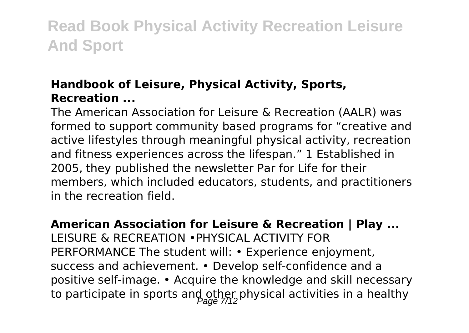### **Handbook of Leisure, Physical Activity, Sports, Recreation ...**

The American Association for Leisure & Recreation (AALR) was formed to support community based programs for "creative and active lifestyles through meaningful physical activity, recreation and fitness experiences across the lifespan." 1 Established in 2005, they published the newsletter Par for Life for their members, which included educators, students, and practitioners in the recreation field.

**American Association for Leisure & Recreation | Play ...** LEISURE & RECREATION •PHYSICAL ACTIVITY FOR PERFORMANCE The student will: • Experience enjoyment, success and achievement. • Develop self-confidence and a positive self-image. • Acquire the knowledge and skill necessary to participate in sports and other physical activities in a healthy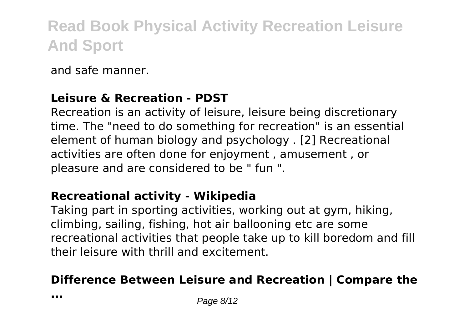and safe manner.

#### **Leisure & Recreation - PDST**

Recreation is an activity of leisure, leisure being discretionary time. The "need to do something for recreation" is an essential element of human biology and psychology . [2] Recreational activities are often done for enjoyment , amusement , or pleasure and are considered to be " fun ".

#### **Recreational activity - Wikipedia**

Taking part in sporting activities, working out at gym, hiking, climbing, sailing, fishing, hot air ballooning etc are some recreational activities that people take up to kill boredom and fill their leisure with thrill and excitement.

#### **Difference Between Leisure and Recreation | Compare the**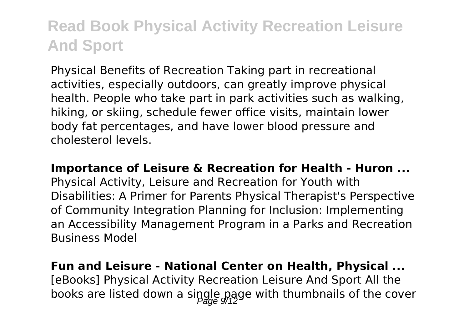Physical Benefits of Recreation Taking part in recreational activities, especially outdoors, can greatly improve physical health. People who take part in park activities such as walking, hiking, or skiing, schedule fewer office visits, maintain lower body fat percentages, and have lower blood pressure and cholesterol levels.

#### **Importance of Leisure & Recreation for Health - Huron ...**

Physical Activity, Leisure and Recreation for Youth with Disabilities: A Primer for Parents Physical Therapist's Perspective of Community Integration Planning for Inclusion: Implementing an Accessibility Management Program in a Parks and Recreation Business Model

#### **Fun and Leisure - National Center on Health, Physical ...** [eBooks] Physical Activity Recreation Leisure And Sport All the

books are listed down a single page with thumbnails of the cover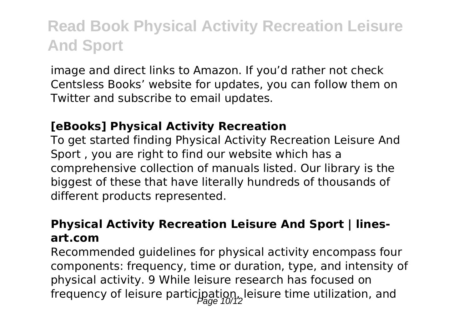image and direct links to Amazon. If you'd rather not check Centsless Books' website for updates, you can follow them on Twitter and subscribe to email updates.

#### **[eBooks] Physical Activity Recreation**

To get started finding Physical Activity Recreation Leisure And Sport , you are right to find our website which has a comprehensive collection of manuals listed. Our library is the biggest of these that have literally hundreds of thousands of different products represented.

#### **Physical Activity Recreation Leisure And Sport | linesart.com**

Recommended guidelines for physical activity encompass four components: frequency, time or duration, type, and intensity of physical activity. 9 While leisure research has focused on frequency of leisure participation, leisure time utilization, and